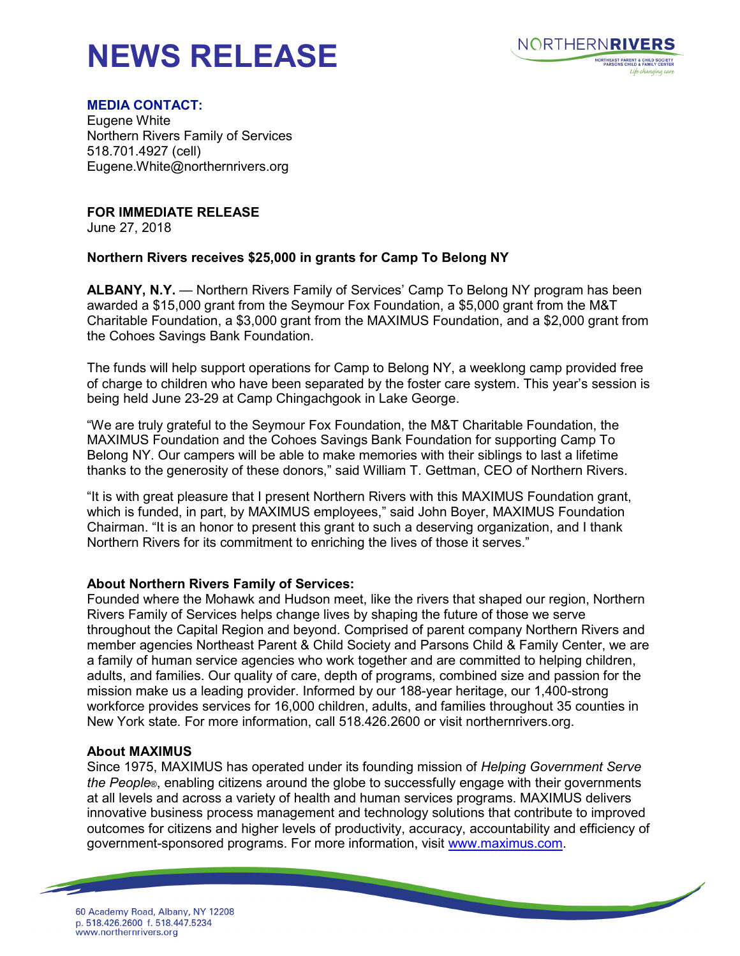# **NEWS RELEASE**



#### **MEDIA CONTACT:**

Eugene White Northern Rivers Family of Services 518.701.4927 (cell) Eugene.White@northernrivers.org

**FOR IMMEDIATE RELEASE**

June 27, 2018

## **Northern Rivers receives \$25,000 in grants for Camp To Belong NY**

**ALBANY, N.Y.** — Northern Rivers Family of Services' Camp To Belong NY program has been awarded a \$15,000 grant from the Seymour Fox Foundation, a \$5,000 grant from the M&T Charitable Foundation, a \$3,000 grant from the MAXIMUS Foundation, and a \$2,000 grant from the Cohoes Savings Bank Foundation.

The funds will help support operations for Camp to Belong NY, a weeklong camp provided free of charge to children who have been separated by the foster care system. This year's session is being held June 23-29 at Camp Chingachgook in Lake George.

"We are truly grateful to the Seymour Fox Foundation, the M&T Charitable Foundation, the MAXIMUS Foundation and the Cohoes Savings Bank Foundation for supporting Camp To Belong NY. Our campers will be able to make memories with their siblings to last a lifetime thanks to the generosity of these donors," said William T. Gettman, CEO of Northern Rivers.

"It is with great pleasure that I present Northern Rivers with this MAXIMUS Foundation grant, which is funded, in part, by MAXIMUS employees," said John Boyer, MAXIMUS Foundation Chairman. "It is an honor to present this grant to such a deserving organization, and I thank Northern Rivers for its commitment to enriching the lives of those it serves."

## **About Northern Rivers Family of Services:**

Founded where the Mohawk and Hudson meet, like the rivers that shaped our region, Northern Rivers Family of Services helps change lives by shaping the future of those we serve throughout the Capital Region and beyond. Comprised of parent company Northern Rivers and member agencies Northeast Parent & Child Society and Parsons Child & Family Center, we are a family of human service agencies who work together and are committed to helping children, adults, and families. Our quality of care, depth of programs, combined size and passion for the mission make us a leading provider. Informed by our 188-year heritage, our 1,400-strong workforce provides services for 16,000 children, adults, and families throughout 35 counties in New York state. For more information, call 518.426.2600 or visit northernrivers.org.

## **About MAXIMUS**

Since 1975, MAXIMUS has operated under its founding mission of *Helping Government Serve the People*®, enabling citizens around the globe to successfully engage with their governments at all levels and across a variety of health and human services programs. MAXIMUS delivers innovative business process management and technology solutions that contribute to improved outcomes for citizens and higher levels of productivity, accuracy, accountability and efficiency of government-sponsored programs. For more information, visit [www.maximus.com.](http://www.maximus.com/)

<u> The Company of the Company of the Company of the Company of the Company of the Company of the Company of the Company of the Company of the Company of the Company of the Company of the Company of the Company of the Compan</u>

60 Academy Road, Albany, NY 12208 p. 518.426.2600 f. 518.447.5234 www.northernrivers.org